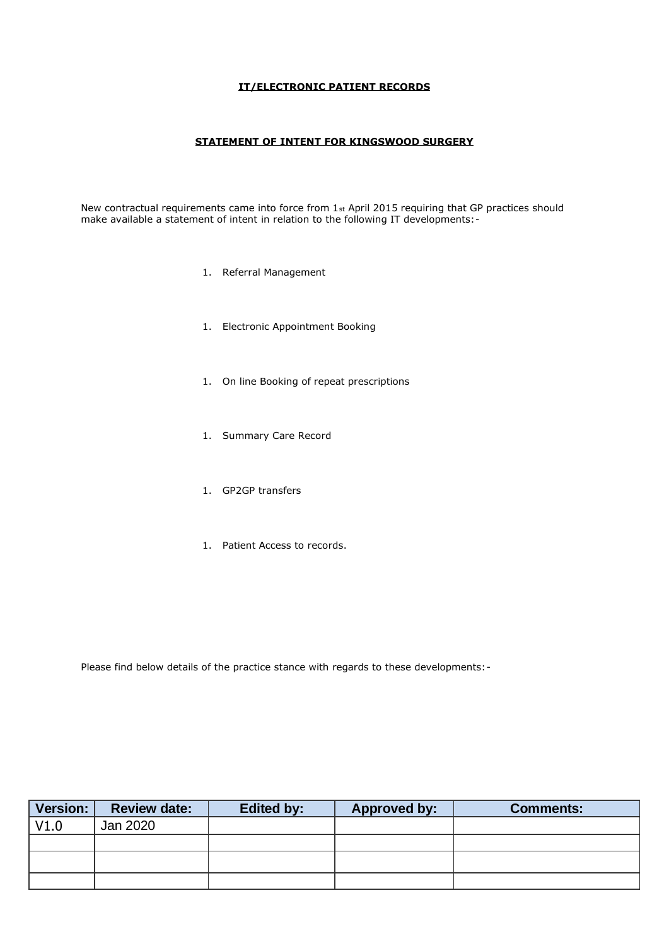## **IT/ELECTRONIC PATIENT RECORDS**

## **STATEMENT OF INTENT FOR KINGSWOOD SURGERY**

New contractual requirements came into force from  $1_{st}$  April 2015 requiring that GP practices should make available a statement of intent in relation to the following IT developments:-

- 1. Referral Management
- 1. Electronic Appointment Booking
- 1. On line Booking of repeat prescriptions
- 1. Summary Care Record
- 1. GP2GP transfers
- 1. Patient Access to records.

Please find below details of the practice stance with regards to these developments:-

| Version: | <b>Review date:</b> | <b>Edited by:</b> | <b>Approved by:</b> | <b>Comments:</b> |
|----------|---------------------|-------------------|---------------------|------------------|
| V1.0     | Jan 2020            |                   |                     |                  |
|          |                     |                   |                     |                  |
|          |                     |                   |                     |                  |
|          |                     |                   |                     |                  |